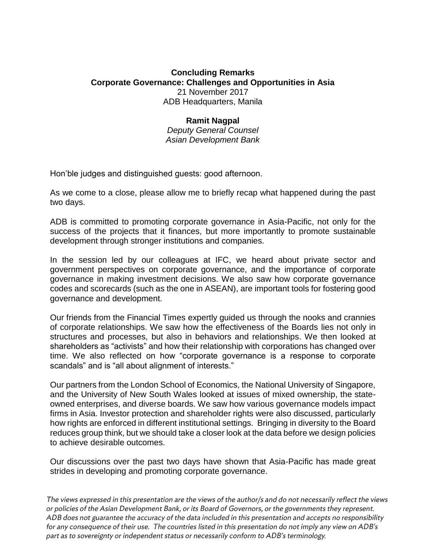## **Concluding Remarks Corporate Governance: Challenges and Opportunities in Asia** 21 November 2017 ADB Headquarters, Manila

## **Ramit Nagpal**

*Deputy General Counsel Asian Development Bank*

Hon'ble judges and distinguished guests: good afternoon.

As we come to a close, please allow me to briefly recap what happened during the past two days.

ADB is committed to promoting corporate governance in Asia-Pacific, not only for the success of the projects that it finances, but more importantly to promote sustainable development through stronger institutions and companies.

In the session led by our colleagues at IFC, we heard about private sector and government perspectives on corporate governance, and the importance of corporate governance in making investment decisions. We also saw how corporate governance codes and scorecards (such as the one in ASEAN), are important tools for fostering good governance and development.

Our friends from the Financial Times expertly guided us through the nooks and crannies of corporate relationships. We saw how the effectiveness of the Boards lies not only in structures and processes, but also in behaviors and relationships. We then looked at shareholders as "activists" and how their relationship with corporations has changed over time. We also reflected on how "corporate governance is a response to corporate scandals" and is "all about alignment of interests."

Our partners from the London School of Economics, the National University of Singapore, and the University of New South Wales looked at issues of mixed ownership, the stateowned enterprises, and diverse boards. We saw how various governance models impact firms in Asia. Investor protection and shareholder rights were also discussed, particularly how rights are enforced in different institutional settings. Bringing in diversity to the Board reduces group think, but we should take a closer look at the data before we design policies to achieve desirable outcomes.

Our discussions over the past two days have shown that Asia-Pacific has made great strides in developing and promoting corporate governance.

The views expressed in this presentation are the views of the author/s and do not necessarily reflect the views or policies of the Asian Development Bank, or its Board of Governors, or the governments they represent. ADB does not guarantee the accuracy of the data included in this presentation and accepts no responsibility for any consequence of their use. The countries listed in this presentation do not imply any view on ADB's part as to sovereignty or independent status or necessarily conform to ADB's terminology.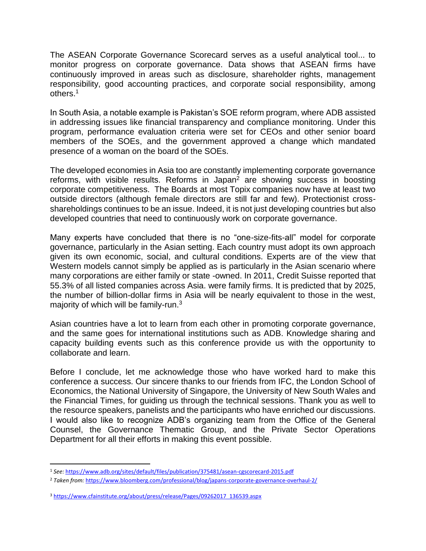The ASEAN Corporate Governance Scorecard serves as a useful analytical tool... to monitor progress on corporate governance. Data shows that ASEAN firms have continuously improved in areas such as disclosure, shareholder rights, management responsibility, good accounting practices, and corporate social responsibility, among others.<sup>1</sup>

In South Asia, a notable example is Pakistan's SOE reform program, where ADB assisted in addressing issues like financial transparency and compliance monitoring. Under this program, performance evaluation criteria were set for CEOs and other senior board members of the SOEs, and the government approved a change which mandated presence of a woman on the board of the SOEs.

The developed economies in Asia too are constantly implementing corporate governance reforms, with visible results. Reforms in Japan<sup>2</sup> are showing success in boosting corporate competitiveness. The Boards at most Topix companies now have at least two outside directors (although female directors are still far and few). Protectionist crossshareholdings continues to be an issue. Indeed, it is not just developing countries but also developed countries that need to continuously work on corporate governance.

Many experts have concluded that there is no "one-size-fits-all" model for corporate governance, particularly in the Asian setting. Each country must adopt its own approach given its own economic, social, and cultural conditions. Experts are of the view that Western models cannot simply be applied as is particularly in the Asian scenario where many corporations are either family or state -owned. In 2011, Credit Suisse reported that 55.3% of all listed companies across Asia. were family firms. It is predicted that by 2025, the number of billion-dollar firms in Asia will be nearly equivalent to those in the west, majority of which will be family-run.<sup>3</sup>

Asian countries have a lot to learn from each other in promoting corporate governance, and the same goes for international institutions such as ADB. Knowledge sharing and capacity building events such as this conference provide us with the opportunity to collaborate and learn.

Before I conclude, let me acknowledge those who have worked hard to make this conference a success. Our sincere thanks to our friends from IFC, the London School of Economics, the National University of Singapore, the University of New South Wales and the Financial Times, for guiding us through the technical sessions. Thank you as well to the resource speakers, panelists and the participants who have enriched our discussions. I would also like to recognize ADB's organizing team from the Office of the General Counsel, the Governance Thematic Group, and the Private Sector Operations Department for all their efforts in making this event possible.

 $\overline{\phantom{a}}$ 

<sup>1</sup> *See:* <https://www.adb.org/sites/default/files/publication/375481/asean-cgscorecard-2015.pdf>

<sup>2</sup> *Taken from:* <https://www.bloomberg.com/professional/blog/japans-corporate-governance-overhaul-2/>

<sup>3</sup> [https://www.cfainstitute.org/about/press/release/Pages/09262017\\_136539.aspx](https://www.cfainstitute.org/about/press/release/Pages/09262017_136539.aspx)